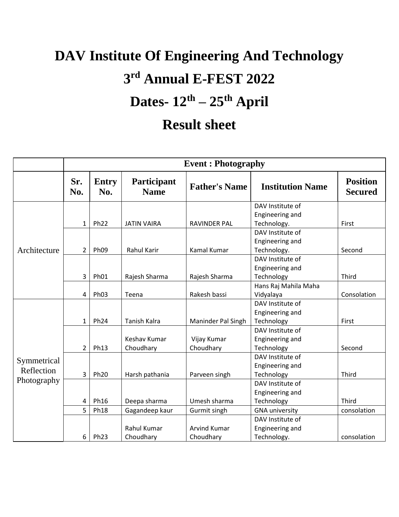## **DAV Institute Of Engineering And Technology 3 rd Annual E-FEST 2022**

## **Dates- 12th – 25th April**

## **Result sheet**

|              |                |                     |                            | <b>Event: Photography</b> |                                     |                                   |
|--------------|----------------|---------------------|----------------------------|---------------------------|-------------------------------------|-----------------------------------|
|              | Sr.<br>No.     | <b>Entry</b><br>No. | Participant<br><b>Name</b> | <b>Father's Name</b>      | <b>Institution Name</b>             | <b>Position</b><br><b>Secured</b> |
|              |                |                     |                            |                           | DAV Institute of<br>Engineering and |                                   |
|              | $\mathbf 1$    | <b>Ph22</b>         | <b>JATIN VAIRA</b>         | <b>RAVINDER PAL</b>       | Technology.                         | First                             |
|              |                |                     |                            |                           | DAV Institute of                    |                                   |
|              |                |                     |                            |                           | Engineering and                     |                                   |
| Architecture | $\overline{2}$ | <b>Ph09</b>         | <b>Rahul Karir</b>         | Kamal Kumar               | Technology.                         | Second                            |
|              |                |                     |                            |                           | DAV Institute of                    |                                   |
|              |                |                     |                            |                           | Engineering and                     |                                   |
|              | 3              | Ph01                | Rajesh Sharma              | Rajesh Sharma             | Technology                          | Third                             |
|              |                |                     |                            |                           | Hans Raj Mahila Maha                |                                   |
|              | 4              | <b>Ph03</b>         | Teena                      | Rakesh bassi              | Vidyalaya                           | Consolation                       |
|              |                |                     |                            |                           | DAV Institute of                    |                                   |
|              |                |                     |                            |                           | Engineering and                     |                                   |
|              | $\mathbf 1$    | <b>Ph24</b>         | Tanish Kalra               | Maninder Pal Singh        | Technology                          | First                             |
|              |                |                     |                            |                           | DAV Institute of                    |                                   |
|              |                |                     | <b>Keshav Kumar</b>        | Vijay Kumar               | Engineering and                     |                                   |
|              | $\overline{2}$ | Ph13                | Choudhary                  | Choudhary                 | Technology                          | Second                            |
| Symmetrical  |                |                     |                            |                           | DAV Institute of                    |                                   |
| Reflection   |                |                     |                            |                           | Engineering and                     |                                   |
|              | 3              | <b>Ph20</b>         | Harsh pathania             | Parveen singh             | Technology                          | Third                             |
| Photography  |                |                     |                            |                           | DAV Institute of                    |                                   |
|              |                |                     |                            |                           | Engineering and                     |                                   |
|              | $\overline{4}$ | Ph16                | Deepa sharma               | Umesh sharma              | Technology                          | Third                             |
|              | 5              | <b>Ph18</b>         | Gagandeep kaur             | Gurmit singh              | <b>GNA university</b>               | consolation                       |
|              |                |                     |                            |                           | DAV Institute of                    |                                   |
|              |                |                     | Rahul Kumar                | <b>Arvind Kumar</b>       | Engineering and                     |                                   |
|              | 6              | <b>Ph23</b>         | Choudhary                  | Choudhary                 | Technology.                         | consolation                       |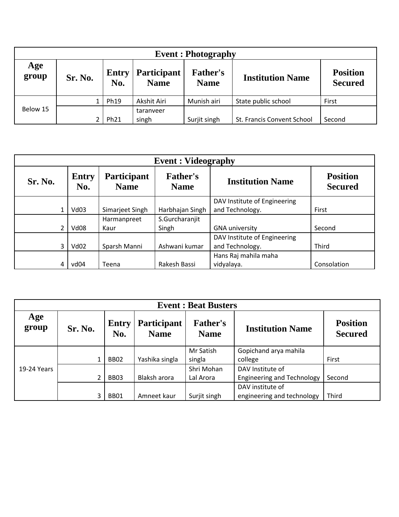|              | <b>Event: Photography</b> |                  |                                   |                                |                            |                                   |  |  |
|--------------|---------------------------|------------------|-----------------------------------|--------------------------------|----------------------------|-----------------------------------|--|--|
| Age<br>group | Sr. No.                   | Entry<br>No.     | <b>Participant</b><br><b>Name</b> | <b>Father's</b><br><b>Name</b> | <b>Institution Name</b>    | <b>Position</b><br><b>Secured</b> |  |  |
|              |                           | Ph19             | Akshit Airi                       | Munish airi                    | State public school        | First                             |  |  |
| Below 15     |                           | Ph <sub>21</sub> | taranveer<br>singh                | Surjit singh                   | St. Francis Convent School | Second                            |  |  |

|                | <b>Event: Videography</b> |                            |                         |                                   |             |  |  |  |  |
|----------------|---------------------------|----------------------------|-------------------------|-----------------------------------|-------------|--|--|--|--|
| Sr. No.        | <b>Entry</b><br>No.       | Participant<br><b>Name</b> | <b>Institution Name</b> | <b>Position</b><br><b>Secured</b> |             |  |  |  |  |
|                |                           |                            |                         | DAV Institute of Engineering      |             |  |  |  |  |
|                | Vd03                      | Simarjeet Singh            | Harbhajan Singh         | and Technology.                   | First       |  |  |  |  |
|                |                           | Harmanpreet                | S.Gurcharanjit          |                                   |             |  |  |  |  |
| $\overline{2}$ | Vd08                      | Kaur                       | Singh                   | <b>GNA university</b>             | Second      |  |  |  |  |
|                |                           |                            |                         | DAV Institute of Engineering      |             |  |  |  |  |
| 3              | Vd02                      | Sparsh Manni               | Ashwani kumar           | and Technology.                   | Third       |  |  |  |  |
|                |                           |                            |                         | Hans Raj mahila maha              |             |  |  |  |  |
|                | vd04                      | Teena                      | Rakesh Bassi            | vidyalaya.                        | Consolation |  |  |  |  |

|              | <b>Event: Beat Busters</b> |                  |                            |                                |                                   |                                   |  |  |
|--------------|----------------------------|------------------|----------------------------|--------------------------------|-----------------------------------|-----------------------------------|--|--|
| Age<br>group | Sr. No.                    | Entry<br>No.     | Participant<br><b>Name</b> | <b>Father's</b><br><b>Name</b> | <b>Institution Name</b>           | <b>Position</b><br><b>Secured</b> |  |  |
|              |                            |                  |                            | Mr Satish                      | Gopichand arya mahila             |                                   |  |  |
|              |                            | <b>BB02</b>      | Yashika singla             | singla                         | college                           | First                             |  |  |
| 19-24 Years  |                            |                  |                            | Shri Mohan                     | DAV Institute of                  |                                   |  |  |
|              | 2                          | BB <sub>03</sub> | Blaksh arora               | Lal Arora                      | <b>Engineering and Technology</b> | Second                            |  |  |
|              |                            |                  |                            |                                | DAV institute of                  |                                   |  |  |
|              | 3                          | <b>BB01</b>      | Amneet kaur                | Surjit singh                   | engineering and technology        | Third                             |  |  |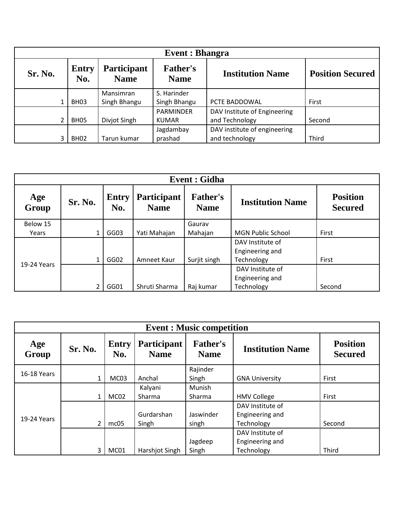| <b>Event</b> : Bhangra |                     |                            |                                |                              |                         |  |  |  |
|------------------------|---------------------|----------------------------|--------------------------------|------------------------------|-------------------------|--|--|--|
| Sr. No.                | <b>Entry</b><br>No. | Participant<br><b>Name</b> | <b>Father's</b><br><b>Name</b> | <b>Institution Name</b>      | <b>Position Secured</b> |  |  |  |
|                        |                     | Mansimran                  | S. Harinder                    |                              |                         |  |  |  |
|                        | BH <sub>03</sub>    | Singh Bhangu               | Singh Bhangu                   | PCTE BADDOWAL                | First                   |  |  |  |
|                        |                     |                            | <b>PARMINDER</b>               | DAV Institute of Engineering |                         |  |  |  |
|                        | BH <sub>05</sub>    | Divjot Singh               | KUMAR                          | and Technology               | Second                  |  |  |  |
|                        |                     |                            | Jagdambay                      | DAV institute of engineering |                         |  |  |  |
|                        | BH <sub>02</sub>    | Tarun kumar                | prashad                        | and technology               | Third                   |  |  |  |

|              | <b>Event: Gidha</b> |                     |                            |                                |                          |                                   |  |  |  |
|--------------|---------------------|---------------------|----------------------------|--------------------------------|--------------------------|-----------------------------------|--|--|--|
| Age<br>Group | Sr. No.             | <b>Entry</b><br>No. | Participant<br><b>Name</b> | <b>Father's</b><br><b>Name</b> | <b>Institution Name</b>  | <b>Position</b><br><b>Secured</b> |  |  |  |
| Below 15     |                     |                     |                            | Gaurav                         |                          |                                   |  |  |  |
| Years        | 1                   | GG03                | Yati Mahajan               | Mahajan                        | <b>MGN Public School</b> | First                             |  |  |  |
|              |                     |                     |                            |                                | DAV Institute of         |                                   |  |  |  |
|              |                     |                     |                            |                                | Engineering and          |                                   |  |  |  |
| 19-24 Years  | 1                   | GG02                | Amneet Kaur                | Surjit singh                   | Technology               | First                             |  |  |  |
|              |                     |                     |                            |                                | DAV Institute of         |                                   |  |  |  |
|              |                     |                     |                            |                                | Engineering and          |                                   |  |  |  |
|              | 2                   | GG01                | Shruti Sharma              | Raj kumar                      | Technology               | Second                            |  |  |  |

| <b>Event: Music competition</b> |                |                     |                            |                                |                         |                                   |  |
|---------------------------------|----------------|---------------------|----------------------------|--------------------------------|-------------------------|-----------------------------------|--|
| Age<br>Group                    | Sr. No.        | <b>Entry</b><br>No. | Participant<br><b>Name</b> | <b>Father's</b><br><b>Name</b> | <b>Institution Name</b> | <b>Position</b><br><b>Secured</b> |  |
| 16-18 Years                     |                |                     |                            | Rajinder                       |                         |                                   |  |
|                                 | $\mathbf{1}$   | MC03                | Anchal                     | Singh                          | <b>GNA University</b>   | First                             |  |
|                                 |                |                     | Kalyani                    | Munish                         |                         |                                   |  |
|                                 | 1              | MC02                | Sharma                     | <b>Sharma</b>                  | <b>HMV College</b>      | First                             |  |
|                                 |                |                     |                            |                                | DAV Institute of        |                                   |  |
|                                 |                |                     | Gurdarshan                 | Jaswinder                      | Engineering and         |                                   |  |
| 19-24 Years                     | $\overline{2}$ | mc <sub>05</sub>    | Singh                      | singh                          | Technology              | Second                            |  |
|                                 |                |                     |                            |                                | DAV Institute of        |                                   |  |
|                                 |                |                     |                            | Jagdeep                        | Engineering and         |                                   |  |
|                                 | 3              | MC01                | Harshjot Singh             | Singh                          | Technology              | <b>Third</b>                      |  |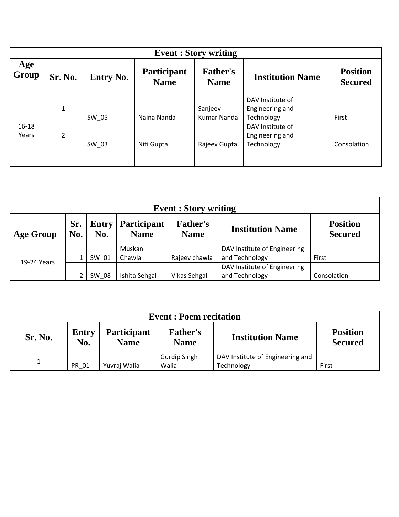| <b>Event: Story writing</b> |                |                  |                                   |                                |                                                   |                                   |  |
|-----------------------------|----------------|------------------|-----------------------------------|--------------------------------|---------------------------------------------------|-----------------------------------|--|
| Age<br>Group                | Sr. No.        | <b>Entry No.</b> | <b>Participant</b><br><b>Name</b> | <b>Father's</b><br><b>Name</b> | <b>Institution Name</b>                           | <b>Position</b><br><b>Secured</b> |  |
|                             | $\mathbf{1}$   | SW_05            | Naina Nanda                       | Sanjeev<br>Kumar Nanda         | DAV Institute of<br>Engineering and<br>Technology | First                             |  |
| 16-18<br>Years              | $\overline{2}$ | SW 03            | Niti Gupta                        | Rajeev Gupta                   | DAV Institute of<br>Engineering and<br>Technology | Consolation                       |  |

| <b>Event: Story writing</b>                                                                                                                                                                  |   |       |                  |               |                                                |             |
|----------------------------------------------------------------------------------------------------------------------------------------------------------------------------------------------|---|-------|------------------|---------------|------------------------------------------------|-------------|
| Sr.<br><b>Participant</b><br><b>Position</b><br><b>Father's</b><br><b>Entry</b><br><b>Institution Name</b><br>No.<br><b>Secured</b><br><b>Age Group</b><br>No.<br><b>Name</b><br><b>Name</b> |   |       |                  |               |                                                |             |
|                                                                                                                                                                                              |   | SW 01 | Muskan<br>Chawla | Rajeev chawla | DAV Institute of Engineering<br>and Technology | First       |
| 19-24 Years                                                                                                                                                                                  | ำ | SW 08 | Ishita Sehgal    | Vikas Sehgal  | DAV Institute of Engineering<br>and Technology | Consolation |

| <b>Event: Poem recitation</b>                                                                                    |                     |                                   |                                |                         |                                   |  |
|------------------------------------------------------------------------------------------------------------------|---------------------|-----------------------------------|--------------------------------|-------------------------|-----------------------------------|--|
| Sr. No.                                                                                                          | <b>Entry</b><br>No. | <b>Participant</b><br><b>Name</b> | <b>Father's</b><br><b>Name</b> | <b>Institution Name</b> | <b>Position</b><br><b>Secured</b> |  |
| DAV Institute of Engineering and<br><b>Gurdip Singh</b><br>Walia<br>PR 01<br>Yuvraj Walia<br>First<br>Technology |                     |                                   |                                |                         |                                   |  |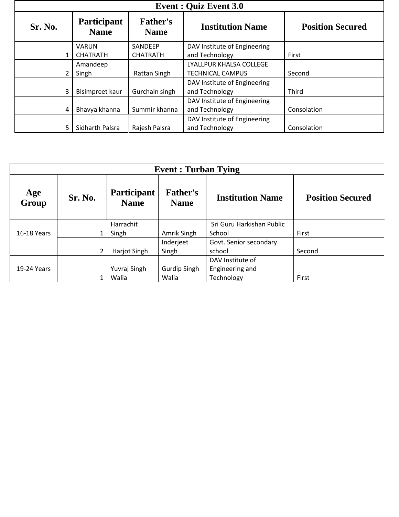|                                                                         | <b>Event: Quiz Event 3.0</b> |                         |                              |             |  |  |  |  |
|-------------------------------------------------------------------------|------------------------------|-------------------------|------------------------------|-------------|--|--|--|--|
| Participant<br><b>Father's</b><br>Sr. No.<br><b>Name</b><br><b>Name</b> |                              | <b>Institution Name</b> | <b>Position Secured</b>      |             |  |  |  |  |
|                                                                         | <b>VARUN</b>                 | SANDEEP                 | DAV Institute of Engineering |             |  |  |  |  |
|                                                                         | <b>CHATRATH</b>              | <b>CHATRATH</b>         | and Technology               | First       |  |  |  |  |
|                                                                         | Amandeep                     |                         | LYALLPUR KHALSA COLLEGE      |             |  |  |  |  |
|                                                                         | Singh                        | Rattan Singh            | <b>TECHNICAL CAMPUS</b>      | Second      |  |  |  |  |
|                                                                         |                              |                         | DAV Institute of Engineering |             |  |  |  |  |
| 3                                                                       | Bisimpreet kaur              | Gurchain singh          | and Technology               | Third       |  |  |  |  |
|                                                                         |                              |                         | DAV Institute of Engineering |             |  |  |  |  |
| 4                                                                       | Bhavya khanna                | Summir khanna           | and Technology               | Consolation |  |  |  |  |
|                                                                         |                              |                         | DAV Institute of Engineering |             |  |  |  |  |
| 5                                                                       | Sidharth Palsra              | Rajesh Palsra           | and Technology               | Consolation |  |  |  |  |

| <b>Event: Turban Tying</b> |         |                                   |                                |                           |                         |  |  |  |
|----------------------------|---------|-----------------------------------|--------------------------------|---------------------------|-------------------------|--|--|--|
| Age<br>Group               | Sr. No. | <b>Participant</b><br><b>Name</b> | <b>Father's</b><br><b>Name</b> | <b>Institution Name</b>   | <b>Position Secured</b> |  |  |  |
|                            |         | Harrachit                         |                                | Sri Guru Harkishan Public |                         |  |  |  |
| 16-18 Years                |         | Singh                             | Amrik Singh                    | School                    | First                   |  |  |  |
|                            |         |                                   | Inderjeet                      | Govt. Senior secondary    |                         |  |  |  |
|                            | 2       | Harjot Singh                      | Singh                          | school                    | Second                  |  |  |  |
|                            |         |                                   |                                | DAV Institute of          |                         |  |  |  |
| 19-24 Years                |         | Yuvraj Singh                      | <b>Gurdip Singh</b>            | Engineering and           |                         |  |  |  |
|                            |         | Walia                             | Walia                          | Technology                | First                   |  |  |  |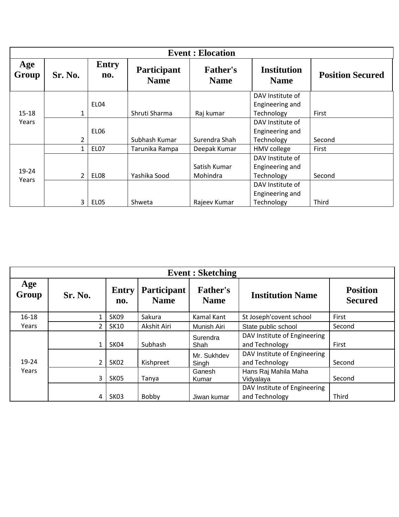| <b>Event: Elocation</b> |                |                     |                            |                                |                                   |                         |  |  |
|-------------------------|----------------|---------------------|----------------------------|--------------------------------|-----------------------------------|-------------------------|--|--|
| Age<br>Group            | Sr. No.        | <b>Entry</b><br>no. | Participant<br><b>Name</b> | <b>Father's</b><br><b>Name</b> | <b>Institution</b><br><b>Name</b> | <b>Position Secured</b> |  |  |
| $15 - 18$<br>Years      |                |                     |                            |                                | DAV Institute of                  |                         |  |  |
|                         |                | EL04                |                            |                                | Engineering and                   |                         |  |  |
|                         | $\mathbf{1}$   |                     | Shruti Sharma              | Raj kumar                      | Technology                        | First                   |  |  |
|                         |                |                     |                            |                                | DAV Institute of                  |                         |  |  |
|                         |                | EL <sub>06</sub>    |                            |                                | Engineering and                   |                         |  |  |
|                         | 2              |                     | Subhash Kumar              | Surendra Shah                  | Technology                        | Second                  |  |  |
| 19-24<br>Years          | $\mathbf{1}$   | <b>EL07</b>         | Tarunika Rampa             | Deepak Kumar                   | HMV college                       | First                   |  |  |
|                         |                |                     |                            |                                | DAV Institute of                  |                         |  |  |
|                         |                |                     |                            | Satish Kumar                   | Engineering and                   |                         |  |  |
|                         | $\overline{2}$ | EL08                | Yashika Sood               | Mohindra                       | Technology                        | Second                  |  |  |
|                         |                |                     |                            |                                | DAV Institute of                  |                         |  |  |
|                         |                |                     |                            |                                | Engineering and                   |                         |  |  |
|                         | 3              | EL <sub>05</sub>    | Shweta                     | Rajeev Kumar                   | Technology                        | Third                   |  |  |

| <b>Event: Sketching</b> |                |                     |                            |                                |                                                |                                   |
|-------------------------|----------------|---------------------|----------------------------|--------------------------------|------------------------------------------------|-----------------------------------|
| Age<br>Group            | Sr. No.        | <b>Entry</b><br>no. | Participant<br><b>Name</b> | <b>Father's</b><br><b>Name</b> | <b>Institution Name</b>                        | <b>Position</b><br><b>Secured</b> |
| $16 - 18$               |                | SK <sub>09</sub>    | Sakura                     | Kamal Kant                     | St Joseph'covent school                        | First                             |
| Years                   | $\mathfrak z$  | <b>SK10</b>         | Akshit Airi                | Munish Airi                    | State public school                            | Second                            |
| 19-24<br>Years          |                | SK04                | Subhash                    | Surendra<br>Shah               | DAV Institute of Engineering<br>and Technology | First                             |
|                         | $\overline{2}$ | SK02                | Kishpreet                  | Mr. Sukhdev<br>Singh           | DAV Institute of Engineering<br>and Technology | Second                            |
|                         | 3              | SK05                | Tanya                      | Ganesh<br>Kumar                | Hans Raj Mahila Maha<br>Vidyalaya              | Second                            |
|                         | 4              | SK <sub>03</sub>    | Bobby                      | Jiwan kumar                    | DAV Institute of Engineering<br>and Technology | Third                             |